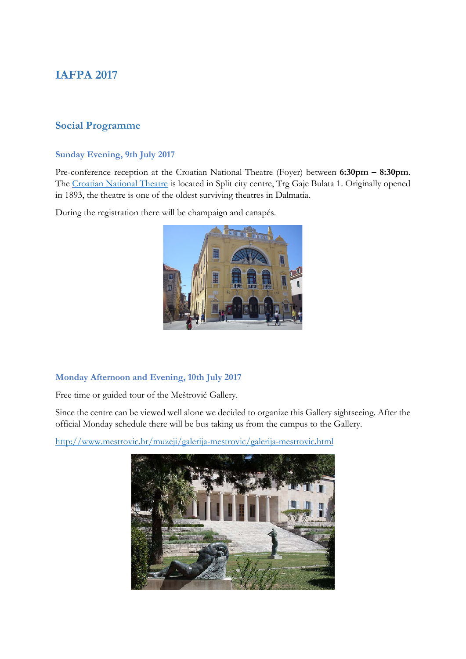# **IAFPA 2017**

## **Social Programme**

#### **Sunday Evening, 9th July 2017**

Pre-conference reception at the Croatian National Theatre (Foyer) between **6:30pm – 8:30pm**. The [Croatian National Theatre](http://www.hnk-split.hr/en/) is located in Split city centre, Trg Gaje Bulata 1. Originally opened in 1893, the theatre is one of the oldest surviving theatres in Dalmatia.

During the registration there will be champaign and canapés.



#### **Monday Afternoon and Evening, 10th July 2017**

Free time or guided tour of the Meštrović Gallery.

Since the centre can be viewed well alone we decided to organize this Gallery sightseeing. After the official Monday schedule there will be bus taking us from the campus to the Gallery.

<http://www.mestrovic.hr/muzeji/galerija-mestrovic/galerija-mestrovic.html>

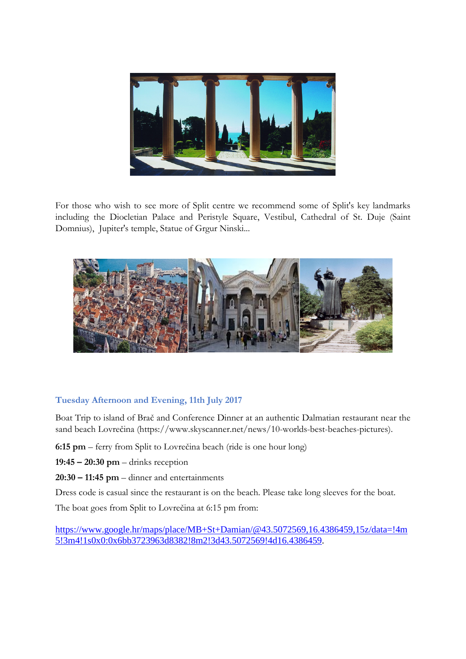

For those who wish to see more of Split centre we recommend some of Split's key landmarks including the Diocletian Palace and Peristyle Square, Vestibul, Cathedral of St. Duje (Saint Domnius), Jupiter's temple, Statue of Grgur Ninski...



### **Tuesday Afternoon and Evening, 11th July 2017**

Boat Trip to island of Brač and Conference Dinner at an authentic Dalmatian restaurant near the sand beach Lovrečina (https://www.skyscanner.net/news/10-worlds-best-beaches-pictures).

- **6:15 pm** ferry from Split to Lovrečina beach (ride is one hour long)
- **19:45 – 20:30 pm** drinks reception
- **20:30 – 11:45 pm**  dinner and entertainments

Dress code is casual since the restaurant is on the beach. Please take long sleeves for the boat.

The boat goes from Split to Lovrečina at 6:15 pm from:

[https://www.google.hr/maps/place/MB+St+Damian/@43.5072569,16.4386459,15z/data=!4m](https://www.google.hr/maps/place/MB+St+Damian/@43.5072569,16.4386459,15z/data=%214m5%213m4%211s0x0:0x6bb3723963d8382%218m2%213d43.5072569%214d16.4386459) [5!3m4!1s0x0:0x6bb3723963d8382!8m2!3d43.5072569!4d16.4386459.](https://www.google.hr/maps/place/MB+St+Damian/@43.5072569,16.4386459,15z/data=%214m5%213m4%211s0x0:0x6bb3723963d8382%218m2%213d43.5072569%214d16.4386459)